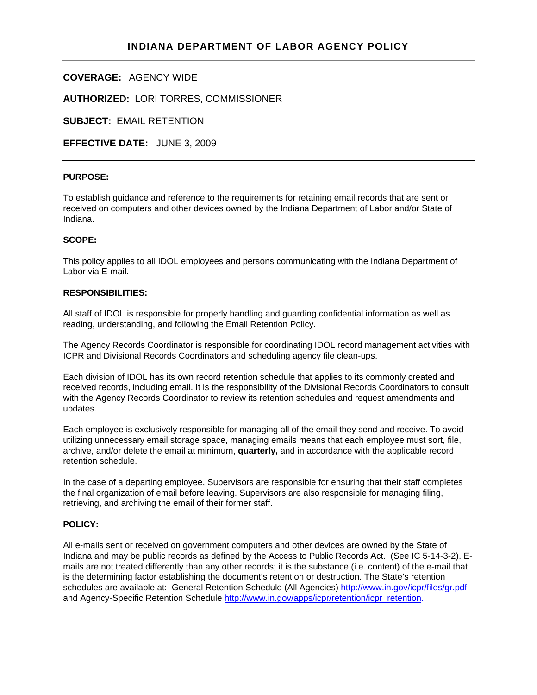## **INDIANA DEPARTMENT OF LABOR AGENCY POLICY**

**COVERAGE:** AGENCY WIDE

**AUTHORIZED:** LORI TORRES, COMMISSIONER

**SUBJECT:** EMAIL RETENTION

**EFFECTIVE DATE:** JUNE 3, 2009

## **PURPOSE:**

To establish guidance and reference to the requirements for retaining email records that are sent or received on computers and other devices owned by the Indiana Department of Labor and/or State of Indiana.

#### **SCOPE:**

This policy applies to all IDOL employees and persons communicating with the Indiana Department of Labor via E-mail.

#### **RESPONSIBILITIES:**

All staff of IDOL is responsible for properly handling and guarding confidential information as well as reading, understanding, and following the Email Retention Policy.

The Agency Records Coordinator is responsible for coordinating IDOL record management activities with ICPR and Divisional Records Coordinators and scheduling agency file clean-ups.

Each division of IDOL has its own record retention schedule that applies to its commonly created and received records, including email. It is the responsibility of the Divisional Records Coordinators to consult with the Agency Records Coordinator to review its retention schedules and request amendments and updates.

Each employee is exclusively responsible for managing all of the email they send and receive. To avoid utilizing unnecessary email storage space, managing emails means that each employee must sort, file, archive, and/or delete the email at minimum, **quarterly,** and in accordance with the applicable record retention schedule.

In the case of a departing employee, Supervisors are responsible for ensuring that their staff completes the final organization of email before leaving. Supervisors are also responsible for managing filing, retrieving, and archiving the email of their former staff.

## **POLICY:**

All e-mails sent or received on government computers and other devices are owned by the State of Indiana and may be public records as defined by the Access to Public Records Act. (See IC 5-14-3-2). Emails are not treated differently than any other records; it is the substance (i.e. content) of the e-mail that is the determining factor establishing the document's retention or destruction. The State's retention schedules are available at: General Retention Schedule (All Agencies) <http://www.in.gov/icpr/files/gr.pdf> and Agency-Specific Retention Schedule [http://www.in.gov/apps/icpr/retention/icpr\\_retention.](http://www.in.gov/apps/icpr/retention/icpr_retention)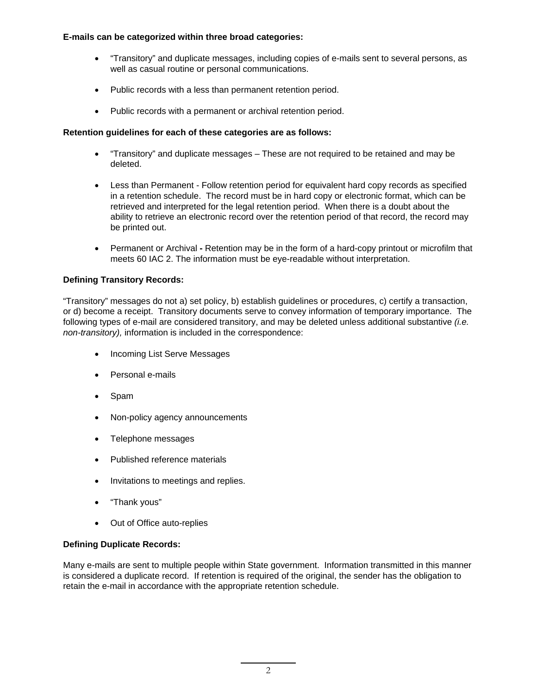#### **E-mails can be categorized within three broad categories:**

- "Transitory" and duplicate messages, including copies of e-mails sent to several persons, as well as casual routine or personal communications.
- Public records with a less than permanent retention period.
- Public records with a permanent or archival retention period.

## **Retention guidelines for each of these categories are as follows:**

- "Transitory" and duplicate messages These are not required to be retained and may be deleted.
- Less than Permanent Follow retention period for equivalent hard copy records as specified in a retention schedule. The record must be in hard copy or electronic format, which can be retrieved and interpreted for the legal retention period. When there is a doubt about the ability to retrieve an electronic record over the retention period of that record, the record may be printed out.
- Permanent or Archival Retention may be in the form of a hard-copy printout or microfilm that meets 60 IAC 2. The information must be eye-readable without interpretation.

## **Defining Transitory Records:**

"Transitory" messages do not a) set policy, b) establish guidelines or procedures, c) certify a transaction, or d) become a receipt. Transitory documents serve to convey information of temporary importance. The following types of e-mail are considered transitory, and may be deleted unless additional substantive *(i.e. non-transitory),* information is included in the correspondence:

- Incoming List Serve Messages
- Personal e-mails
- Spam
- Non-policy agency announcements
- Telephone messages
- Published reference materials
- Invitations to meetings and replies.
- "Thank yous"
- Out of Office auto-replies

#### **Defining Duplicate Records:**

Many e-mails are sent to multiple people within State government. Information transmitted in this manner is considered a duplicate record. If retention is required of the original, the sender has the obligation to retain the e-mail in accordance with the appropriate retention schedule.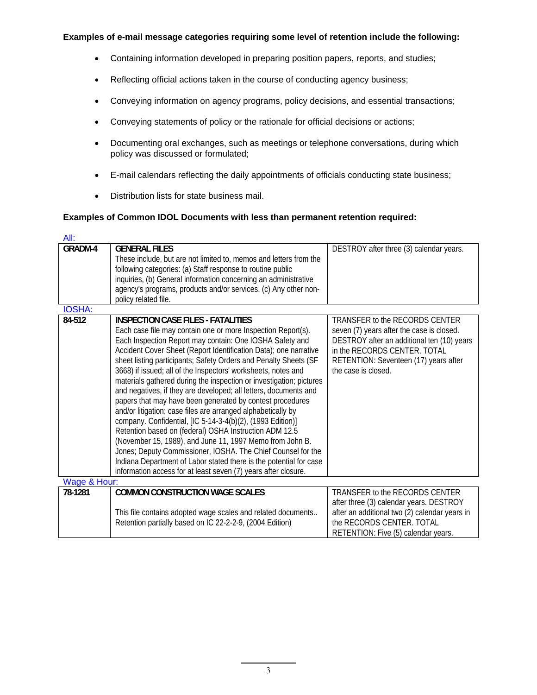#### **Examples of e-mail message categories requiring some level of retention include the following:**

- Containing information developed in preparing position papers, reports, and studies;
- Reflecting official actions taken in the course of conducting agency business;
- Conveying information on agency programs, policy decisions, and essential transactions;
- Conveying statements of policy or the rationale for official decisions or actions;
- Documenting oral exchanges, such as meetings or telephone conversations, during which policy was discussed or formulated;
- E-mail calendars reflecting the daily appointments of officials conducting state business;
- Distribution lists for state business mail.

## **Examples of Common IDOL Documents with less than permanent retention required:**

| All:          |                                                                                                                                                                                                                                                                                                                                                                                                                                                                                                                                                                                                                                                                                                                                                                                                                                                                                                                                                                                                                                                    |                                                                                                                                                                                                                           |  |
|---------------|----------------------------------------------------------------------------------------------------------------------------------------------------------------------------------------------------------------------------------------------------------------------------------------------------------------------------------------------------------------------------------------------------------------------------------------------------------------------------------------------------------------------------------------------------------------------------------------------------------------------------------------------------------------------------------------------------------------------------------------------------------------------------------------------------------------------------------------------------------------------------------------------------------------------------------------------------------------------------------------------------------------------------------------------------|---------------------------------------------------------------------------------------------------------------------------------------------------------------------------------------------------------------------------|--|
| GRADM-4       | <b>GENERAL FILES</b><br>These include, but are not limited to, memos and letters from the<br>following categories: (a) Staff response to routine public<br>inquiries, (b) General information concerning an administrative<br>agency's programs, products and/or services, (c) Any other non-<br>policy related file.                                                                                                                                                                                                                                                                                                                                                                                                                                                                                                                                                                                                                                                                                                                              | DESTROY after three (3) calendar years.                                                                                                                                                                                   |  |
| <b>IOSHA:</b> |                                                                                                                                                                                                                                                                                                                                                                                                                                                                                                                                                                                                                                                                                                                                                                                                                                                                                                                                                                                                                                                    |                                                                                                                                                                                                                           |  |
| 84-512        | <b>INSPECTION CASE FILES - FATALITIES</b><br>Each case file may contain one or more Inspection Report(s).<br>Each Inspection Report may contain: One IOSHA Safety and<br>Accident Cover Sheet (Report Identification Data); one narrative<br>sheet listing participants; Safety Orders and Penalty Sheets (SF<br>3668) if issued; all of the Inspectors' worksheets, notes and<br>materials gathered during the inspection or investigation; pictures<br>and negatives, if they are developed; all letters, documents and<br>papers that may have been generated by contest procedures<br>and/or litigation; case files are arranged alphabetically by<br>company. Confidential, [IC 5-14-3-4(b)(2), (1993 Edition)]<br>Retention based on (federal) OSHA Instruction ADM 12.5<br>(November 15, 1989), and June 11, 1997 Memo from John B.<br>Jones; Deputy Commissioner, IOSHA. The Chief Counsel for the<br>Indiana Department of Labor stated there is the potential for case<br>information access for at least seven (7) years after closure. | TRANSFER to the RECORDS CENTER<br>seven (7) years after the case is closed.<br>DESTROY after an additional ten (10) years<br>in the RECORDS CENTER. TOTAL<br>RETENTION: Seventeen (17) years after<br>the case is closed. |  |
| Wage & Hour:  |                                                                                                                                                                                                                                                                                                                                                                                                                                                                                                                                                                                                                                                                                                                                                                                                                                                                                                                                                                                                                                                    |                                                                                                                                                                                                                           |  |
| 78-1281       | <b>COMMON CONSTRUCTION WAGE SCALES</b><br>This file contains adopted wage scales and related documents<br>Retention partially based on IC 22-2-2-9, (2004 Edition)                                                                                                                                                                                                                                                                                                                                                                                                                                                                                                                                                                                                                                                                                                                                                                                                                                                                                 | TRANSFER to the RECORDS CENTER<br>after three (3) calendar years. DESTROY<br>after an additional two (2) calendar years in<br>the RECORDS CENTER. TOTAL<br>RETENTION: Five (5) calendar years.                            |  |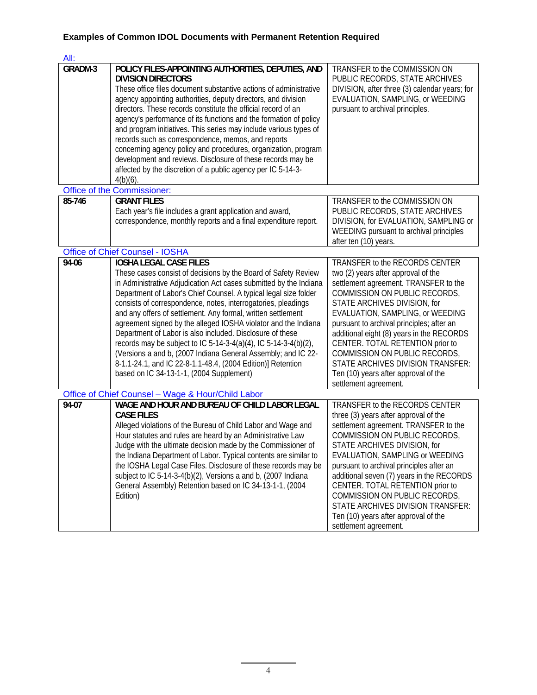# **Examples of Common IDOL Documents with Permanent Retention Required**

| All:                                              |                                                                                                                                                                                                                                                                                                                                                                                                                                                                                                                                                                                                                                                                                                                                                         |                                                                                                                                                                                                                                                                                                                                                                                                                                                                                          |  |
|---------------------------------------------------|---------------------------------------------------------------------------------------------------------------------------------------------------------------------------------------------------------------------------------------------------------------------------------------------------------------------------------------------------------------------------------------------------------------------------------------------------------------------------------------------------------------------------------------------------------------------------------------------------------------------------------------------------------------------------------------------------------------------------------------------------------|------------------------------------------------------------------------------------------------------------------------------------------------------------------------------------------------------------------------------------------------------------------------------------------------------------------------------------------------------------------------------------------------------------------------------------------------------------------------------------------|--|
| GRADM-3                                           | POLICY FILES-APPOINTING AUTHORITIES, DEPUTIES, AND<br><b>DIVISION DIRECTORS</b><br>These office files document substantive actions of administrative<br>agency appointing authorities, deputy directors, and division<br>directors. These records constitute the official record of an<br>agency's performance of its functions and the formation of policy<br>and program initiatives. This series may include various types of<br>records such as correspondence, memos, and reports<br>concerning agency policy and procedures, organization, program<br>development and reviews. Disclosure of these records may be<br>affected by the discretion of a public agency per IC 5-14-3-<br>$4(b)(6)$ .                                                  | TRANSFER to the COMMISSION ON<br>PUBLIC RECORDS, STATE ARCHIVES<br>DIVISION, after three (3) calendar years; for<br>EVALUATION, SAMPLING, or WEEDING<br>pursuant to archival principles.                                                                                                                                                                                                                                                                                                 |  |
| Office of the Commissioner:                       |                                                                                                                                                                                                                                                                                                                                                                                                                                                                                                                                                                                                                                                                                                                                                         |                                                                                                                                                                                                                                                                                                                                                                                                                                                                                          |  |
| 85-746                                            | <b>GRANT FILES</b><br>Each year's file includes a grant application and award,<br>correspondence, monthly reports and a final expenditure report.                                                                                                                                                                                                                                                                                                                                                                                                                                                                                                                                                                                                       | TRANSFER to the COMMISSION ON<br>PUBLIC RECORDS, STATE ARCHIVES<br>DIVISION, for EVALUATION, SAMPLING or<br>WEEDING pursuant to archival principles<br>after ten (10) years.                                                                                                                                                                                                                                                                                                             |  |
| <b>Office of Chief Counsel - IOSHA</b>            |                                                                                                                                                                                                                                                                                                                                                                                                                                                                                                                                                                                                                                                                                                                                                         |                                                                                                                                                                                                                                                                                                                                                                                                                                                                                          |  |
| 94-06                                             | <b>IOSHA LEGAL CASE FILES</b><br>These cases consist of decisions by the Board of Safety Review<br>in Administrative Adjudication Act cases submitted by the Indiana<br>Department of Labor's Chief Counsel. A typical legal size folder<br>consists of correspondence, notes, interrogatories, pleadings<br>and any offers of settlement. Any formal, written settlement<br>agreement signed by the alleged IOSHA violator and the Indiana<br>Department of Labor is also included. Disclosure of these<br>records may be subject to IC 5-14-3-4(a)(4), IC 5-14-3-4(b)(2),<br>(Versions a and b, (2007 Indiana General Assembly; and IC 22-<br>8-1.1-24.1, and IC 22-8-1.1-48.4, (2004 Edition)] Retention<br>based on IC 34-13-1-1, (2004 Supplement) | TRANSFER to the RECORDS CENTER<br>two (2) years after approval of the<br>settlement agreement. TRANSFER to the<br>COMMISSION ON PUBLIC RECORDS,<br>STATE ARCHIVES DIVISION, for<br>EVALUATION, SAMPLING, or WEEDING<br>pursuant to archival principles; after an<br>additional eight (8) years in the RECORDS<br>CENTER. TOTAL RETENTION prior to<br>COMMISSION ON PUBLIC RECORDS,<br>STATE ARCHIVES DIVISION TRANSFER:<br>Ten (10) years after approval of the<br>settlement agreement. |  |
| Office of Chief Counsel - Wage & Hour/Child Labor |                                                                                                                                                                                                                                                                                                                                                                                                                                                                                                                                                                                                                                                                                                                                                         |                                                                                                                                                                                                                                                                                                                                                                                                                                                                                          |  |
| $\frac{1}{94-07}$                                 | WAGE AND HOUR AND BUREAU OF CHILD LABOR LEGAL<br><b>CASE FILES</b><br>Alleged violations of the Bureau of Child Labor and Wage and<br>Hour statutes and rules are heard by an Administrative Law<br>Judge with the ultimate decision made by the Commissioner of<br>the Indiana Department of Labor. Typical contents are similar to<br>the IOSHA Legal Case Files. Disclosure of these records may be<br>subject to IC 5-14-3-4(b)(2), Versions a and b, (2007 Indiana<br>General Assembly) Retention based on IC 34-13-1-1, (2004<br>Edition)                                                                                                                                                                                                         | TRANSFER to the RECORDS CENTER<br>three (3) years after approval of the<br>settlement agreement. TRANSFER to the<br>COMMISSION ON PUBLIC RECORDS,<br>STATE ARCHIVES DIVISION, for<br>EVALUATION, SAMPLING or WEEDING<br>pursuant to archival principles after an<br>additional seven (7) years in the RECORDS<br>CENTER. TOTAL RETENTION prior to<br>COMMISSION ON PUBLIC RECORDS,<br>STATE ARCHIVES DIVISION TRANSFER:<br>Ten (10) years after approval of the<br>settlement agreement. |  |